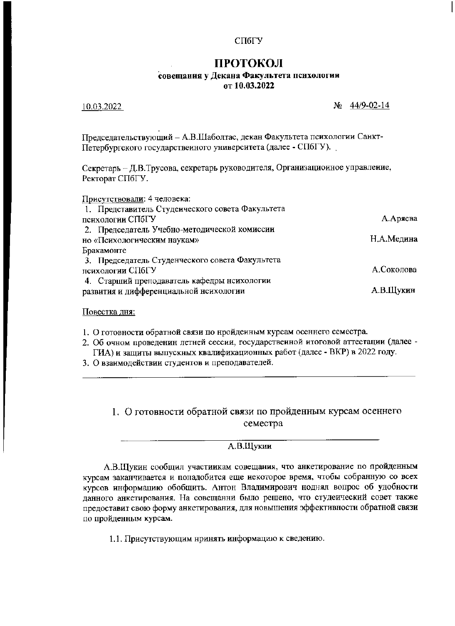#### СПбГУ

# ПРОТОКОЛ

### совещания у Декана Факультета психологии

от 10.03.2022

10.03.2022

 $N_2$  44/9-02-14

Председательствующий - А.В.Шаболтас, декан Факультета психологии Санкт-Петербургского государствеиного университета (далее - СПбГУ).

Секретарь - Д.В.Трусова, секретарь руководителя, Организационное управление, Ректорат СПбГУ.

| Присутствовали: 4 человека:                      |            |
|--------------------------------------------------|------------|
| 1. Представитель Студенческого совета Факультета |            |
| психологии СПбГУ                                 | А.Аряева   |
| 2. Председатель Учебно-методической комиссии     |            |
| но «Психологическим наукам»                      | Н.А.Медина |
| Бракамонте                                       |            |
| 3. Председатель Студенческого совета Факультета  |            |
| психологии СПбГУ                                 | А.Соколова |
| 4. Старший преподаватель кафедры нсихологии      |            |
| развития и дифференциальной нсихологии           | А.В.Щукин  |
|                                                  |            |

Повестка дня:

- 1. О готовности обратной связи по нройденным курсам осеннего семестра.
- 2. Об очном проведенин летней сессии, государственной итоговой аттестации (далее -ГИА) и защиты выпускных квалификационных работ (далее - ВКР) в 2022 году.
- 3. О взаимодействии студентов и преподавателей.

## 1. О готовности обратной связи по пройденным курсам осеннего семестра

### А.В.Щукии

А.В.Щукин сообщил участиикам совещания, что анкетирование по пройденным курсам заканчивается и понадобится еще иекоторое время, чтобы собранную со всех курсов информацию обобщить. Антон Владимирович ноднял вопрос об удобности данного анкетирования. На совещанни было решено, что студеический совет также предоставит свою форму анкетирования, для новышения эффективности обратной связи по пройденным курсам.

1.1. Присутствующим нринять информацию к сведению.